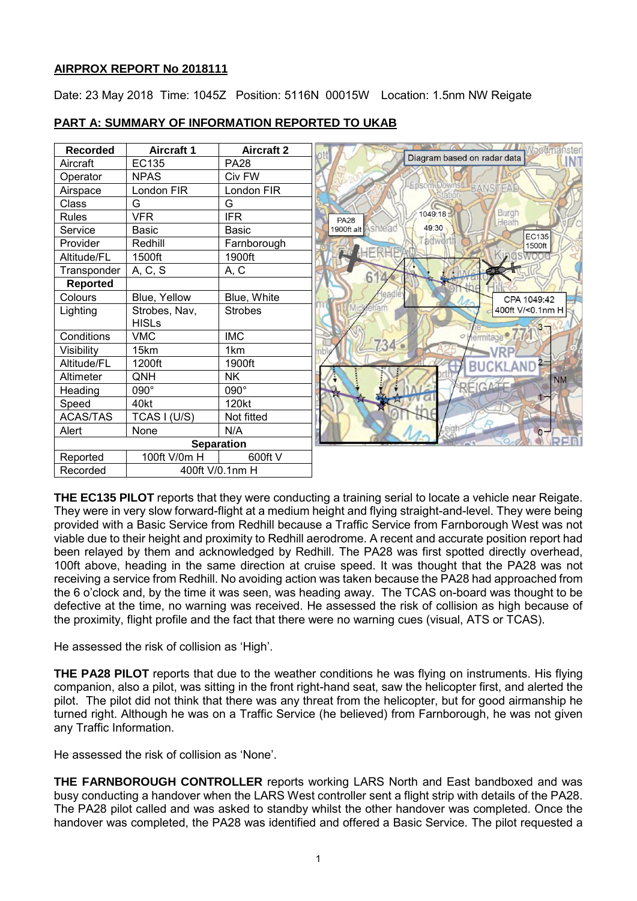## **AIRPROX REPORT No 2018111**

Date: 23 May 2018 Time: 1045Z Position: 5116N 00015W Location: 1.5nm NW Reigate

| <b>Recorded</b>   | <b>Aircraft 1</b> | <b>Aircraft 2</b> | Noodma                                   |
|-------------------|-------------------|-------------------|------------------------------------------|
| Aircraft          | <b>EC135</b>      | <b>PA28</b>       | Diagram based on radar data              |
| Operator          | <b>NPAS</b>       | Civ FW            |                                          |
| Airspace          | London FIR        | London FIR        | Epsom Downs BANSTEAD                     |
| <b>Class</b>      | G                 | G                 |                                          |
| <b>Rules</b>      | <b>VFR</b>        | <b>IFR</b>        | Burgh<br>1049:18<br><b>PA28</b><br>Heath |
| Service           | Basic             | <b>Basic</b>      | 49:30<br>1900ft alt<br>shtead<br>EC135   |
| Provider          | Redhill           | Farnborough       | adwo<br>1500ft                           |
| Altitude/FL       | 1500ft            | 1900ft            | HERHFAD                                  |
| Transponder       | A, C, S           | A, C              |                                          |
| <b>Reported</b>   |                   |                   | 6                                        |
| Colours           | Blue, Yellow      | Blue, White       | CPA 1049:42                              |
| Lighting          | Strobes, Nav,     | <b>Strobes</b>    | 400ft V/<0.1nm H                         |
|                   | <b>HISLs</b>      |                   |                                          |
| Conditions        | <b>VMC</b>        | <b>IMC</b>        | Hermitage <sup>e</sup><br>$\sigma$       |
| Visibility        | 15km              | 1km               | $734^{2}$                                |
| Altitude/FL       | 1200ft            | 1900ft            |                                          |
| Altimeter         | QNH               | <b>NK</b>         | <b>NM</b>                                |
| Heading           | 090°              | 090°              | REIGATE                                  |
| Speed             | 40kt              | 120kt             |                                          |
| <b>ACAS/TAS</b>   | TCAS I (U/S)      | Not fitted        |                                          |
| Alert             | None              | N/A               | O                                        |
| <b>Separation</b> |                   |                   |                                          |
| Reported          | 100ft V/0m H      | 600ft V           |                                          |
| Recorded          | 400ft V/0.1nm H   |                   |                                          |

# **PART A: SUMMARY OF INFORMATION REPORTED TO UKAB**

**THE EC135 PILOT** reports that they were conducting a training serial to locate a vehicle near Reigate. They were in very slow forward-flight at a medium height and flying straight-and-level. They were being provided with a Basic Service from Redhill because a Traffic Service from Farnborough West was not viable due to their height and proximity to Redhill aerodrome. A recent and accurate position report had been relayed by them and acknowledged by Redhill. The PA28 was first spotted directly overhead, 100ft above, heading in the same direction at cruise speed. It was thought that the PA28 was not receiving a service from Redhill. No avoiding action was taken because the PA28 had approached from the 6 o'clock and, by the time it was seen, was heading away. The TCAS on-board was thought to be defective at the time, no warning was received. He assessed the risk of collision as high because of the proximity, flight profile and the fact that there were no warning cues (visual, ATS or TCAS).

He assessed the risk of collision as 'High'.

**THE PA28 PILOT** reports that due to the weather conditions he was flying on instruments. His flying companion, also a pilot, was sitting in the front right-hand seat, saw the helicopter first, and alerted the pilot. The pilot did not think that there was any threat from the helicopter, but for good airmanship he turned right. Although he was on a Traffic Service (he believed) from Farnborough, he was not given any Traffic Information.

He assessed the risk of collision as 'None'.

**THE FARNBOROUGH CONTROLLER** reports working LARS North and East bandboxed and was busy conducting a handover when the LARS West controller sent a flight strip with details of the PA28. The PA28 pilot called and was asked to standby whilst the other handover was completed. Once the handover was completed, the PA28 was identified and offered a Basic Service. The pilot requested a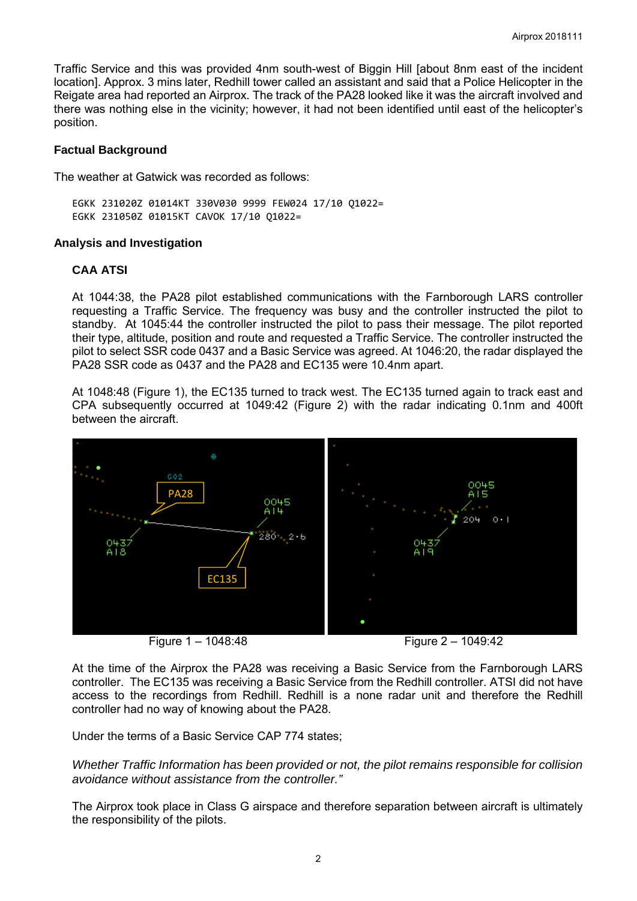Traffic Service and this was provided 4nm south-west of Biggin Hill [about 8nm east of the incident location]. Approx. 3 mins later, Redhill tower called an assistant and said that a Police Helicopter in the Reigate area had reported an Airprox. The track of the PA28 looked like it was the aircraft involved and there was nothing else in the vicinity; however, it had not been identified until east of the helicopter's position.

#### **Factual Background**

The weather at Gatwick was recorded as follows:

EGKK 231020Z 01014KT 330V030 9999 FEW024 17/10 Q1022= EGKK 231050Z 01015KT CAVOK 17/10 Q1022=

### **Analysis and Investigation**

# **CAA ATSI**

At 1044:38, the PA28 pilot established communications with the Farnborough LARS controller requesting a Traffic Service. The frequency was busy and the controller instructed the pilot to standby. At 1045:44 the controller instructed the pilot to pass their message. The pilot reported their type, altitude, position and route and requested a Traffic Service. The controller instructed the pilot to select SSR code 0437 and a Basic Service was agreed. At 1046:20, the radar displayed the PA28 SSR code as 0437 and the PA28 and EC135 were 10.4nm apart.

At 1048:48 (Figure 1), the EC135 turned to track west. The EC135 turned again to track east and CPA subsequently occurred at 1049:42 (Figure 2) with the radar indicating 0.1nm and 400ft between the aircraft.



Figure 1 – 1048:48 Figure 2 – 1049:42

At the time of the Airprox the PA28 was receiving a Basic Service from the Farnborough LARS controller. The EC135 was receiving a Basic Service from the Redhill controller. ATSI did not have access to the recordings from Redhill. Redhill is a none radar unit and therefore the Redhill controller had no way of knowing about the PA28.

Under the terms of a Basic Service CAP 774 states;

*Whether Traffic Information has been provided or not, the pilot remains responsible for collision avoidance without assistance from the controller."* 

The Airprox took place in Class G airspace and therefore separation between aircraft is ultimately the responsibility of the pilots.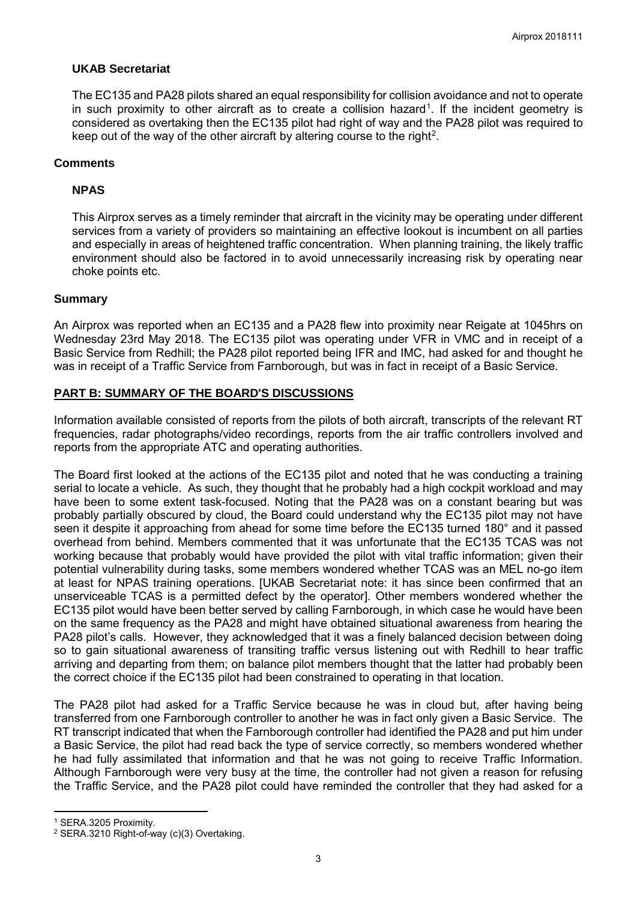## **UKAB Secretariat**

The EC135 and PA28 pilots shared an equal responsibility for collision avoidance and not to operate in such proximity to other aircraft as to create a collision hazard<sup>[1](#page-2-0)</sup>. If the incident geometry is considered as overtaking then the EC135 pilot had right of way and the PA28 pilot was required to keep out of the way of the other aircraft by altering course to the right<sup>[2](#page-2-1)</sup>.

### **Comments**

## **NPAS**

This Airprox serves as a timely reminder that aircraft in the vicinity may be operating under different services from a variety of providers so maintaining an effective lookout is incumbent on all parties and especially in areas of heightened traffic concentration. When planning training, the likely traffic environment should also be factored in to avoid unnecessarily increasing risk by operating near choke points etc.

#### **Summary**

An Airprox was reported when an EC135 and a PA28 flew into proximity near Reigate at 1045hrs on Wednesday 23rd May 2018. The EC135 pilot was operating under VFR in VMC and in receipt of a Basic Service from Redhill; the PA28 pilot reported being IFR and IMC, had asked for and thought he was in receipt of a Traffic Service from Farnborough, but was in fact in receipt of a Basic Service.

### **PART B: SUMMARY OF THE BOARD'S DISCUSSIONS**

Information available consisted of reports from the pilots of both aircraft, transcripts of the relevant RT frequencies, radar photographs/video recordings, reports from the air traffic controllers involved and reports from the appropriate ATC and operating authorities.

The Board first looked at the actions of the EC135 pilot and noted that he was conducting a training serial to locate a vehicle. As such, they thought that he probably had a high cockpit workload and may have been to some extent task-focused. Noting that the PA28 was on a constant bearing but was probably partially obscured by cloud, the Board could understand why the EC135 pilot may not have seen it despite it approaching from ahead for some time before the EC135 turned 180° and it passed overhead from behind. Members commented that it was unfortunate that the EC135 TCAS was not working because that probably would have provided the pilot with vital traffic information; given their potential vulnerability during tasks, some members wondered whether TCAS was an MEL no-go item at least for NPAS training operations. [UKAB Secretariat note: it has since been confirmed that an unserviceable TCAS is a permitted defect by the operator]. Other members wondered whether the EC135 pilot would have been better served by calling Farnborough, in which case he would have been on the same frequency as the PA28 and might have obtained situational awareness from hearing the PA28 pilot's calls. However, they acknowledged that it was a finely balanced decision between doing so to gain situational awareness of transiting traffic versus listening out with Redhill to hear traffic arriving and departing from them; on balance pilot members thought that the latter had probably been the correct choice if the EC135 pilot had been constrained to operating in that location.

The PA28 pilot had asked for a Traffic Service because he was in cloud but, after having being transferred from one Farnborough controller to another he was in fact only given a Basic Service. The RT transcript indicated that when the Farnborough controller had identified the PA28 and put him under a Basic Service, the pilot had read back the type of service correctly, so members wondered whether he had fully assimilated that information and that he was not going to receive Traffic Information. Although Farnborough were very busy at the time, the controller had not given a reason for refusing the Traffic Service, and the PA28 pilot could have reminded the controller that they had asked for a

l

<span id="page-2-0"></span><sup>1</sup> SERA.3205 Proximity.

<span id="page-2-1"></span><sup>2</sup> SERA.3210 Right-of-way (c)(3) Overtaking.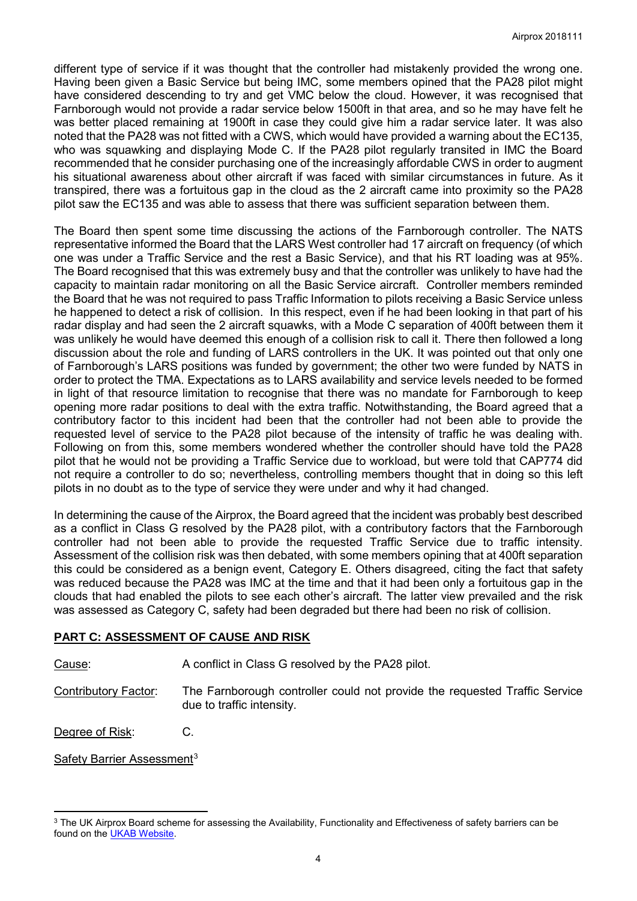different type of service if it was thought that the controller had mistakenly provided the wrong one. Having been given a Basic Service but being IMC, some members opined that the PA28 pilot might have considered descending to try and get VMC below the cloud. However, it was recognised that Farnborough would not provide a radar service below 1500ft in that area, and so he may have felt he was better placed remaining at 1900ft in case they could give him a radar service later. It was also noted that the PA28 was not fitted with a CWS, which would have provided a warning about the EC135, who was squawking and displaying Mode C. If the PA28 pilot regularly transited in IMC the Board recommended that he consider purchasing one of the increasingly affordable CWS in order to augment his situational awareness about other aircraft if was faced with similar circumstances in future. As it transpired, there was a fortuitous gap in the cloud as the 2 aircraft came into proximity so the PA28 pilot saw the EC135 and was able to assess that there was sufficient separation between them.

The Board then spent some time discussing the actions of the Farnborough controller. The NATS representative informed the Board that the LARS West controller had 17 aircraft on frequency (of which one was under a Traffic Service and the rest a Basic Service), and that his RT loading was at 95%. The Board recognised that this was extremely busy and that the controller was unlikely to have had the capacity to maintain radar monitoring on all the Basic Service aircraft. Controller members reminded the Board that he was not required to pass Traffic Information to pilots receiving a Basic Service unless he happened to detect a risk of collision. In this respect, even if he had been looking in that part of his radar display and had seen the 2 aircraft squawks, with a Mode C separation of 400ft between them it was unlikely he would have deemed this enough of a collision risk to call it. There then followed a long discussion about the role and funding of LARS controllers in the UK. It was pointed out that only one of Farnborough's LARS positions was funded by government; the other two were funded by NATS in order to protect the TMA. Expectations as to LARS availability and service levels needed to be formed in light of that resource limitation to recognise that there was no mandate for Farnborough to keep opening more radar positions to deal with the extra traffic. Notwithstanding, the Board agreed that a contributory factor to this incident had been that the controller had not been able to provide the requested level of service to the PA28 pilot because of the intensity of traffic he was dealing with. Following on from this, some members wondered whether the controller should have told the PA28 pilot that he would not be providing a Traffic Service due to workload, but were told that CAP774 did not require a controller to do so; nevertheless, controlling members thought that in doing so this left pilots in no doubt as to the type of service they were under and why it had changed.

In determining the cause of the Airprox, the Board agreed that the incident was probably best described as a conflict in Class G resolved by the PA28 pilot, with a contributory factors that the Farnborough controller had not been able to provide the requested Traffic Service due to traffic intensity. Assessment of the collision risk was then debated, with some members opining that at 400ft separation this could be considered as a benign event, Category E. Others disagreed, citing the fact that safety was reduced because the PA28 was IMC at the time and that it had been only a fortuitous gap in the clouds that had enabled the pilots to see each other's aircraft. The latter view prevailed and the risk was assessed as Category C, safety had been degraded but there had been no risk of collision.

# **PART C: ASSESSMENT OF CAUSE AND RISK**

Cause: A conflict in Class G resolved by the PA28 pilot.

Contributory Factor: The Farnborough controller could not provide the requested Traffic Service due to traffic intensity.

Degree of Risk: C.

Safety Barrier Assessment<sup>[3](#page-3-0)</sup>

l

<span id="page-3-0"></span><sup>&</sup>lt;sup>3</sup> The UK Airprox Board scheme for assessing the Availability, Functionality and Effectiveness of safety barriers can be found on the [UKAB Website.](http://www.airproxboard.org.uk/Learn-more/Airprox-Barrier-Assessment/)